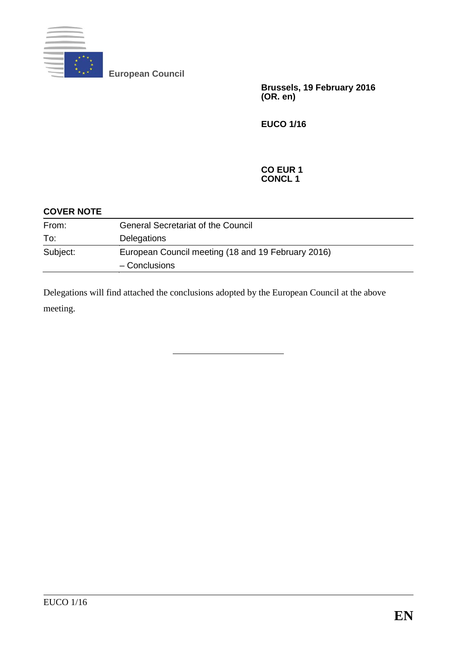

**European Council**

**Brussels, 19 February 2016 (OR. en)**

**EUCO 1/16**

#### **CO EUR 1 CONCL 1**

| <b>COVER NOTE</b> |                                                    |
|-------------------|----------------------------------------------------|
| From:             | <b>General Secretariat of the Council</b>          |
| To:               | Delegations                                        |
| Subject:          | European Council meeting (18 and 19 February 2016) |
|                   | - Conclusions                                      |

Delegations will find attached the conclusions adopted by the European Council at the above meeting.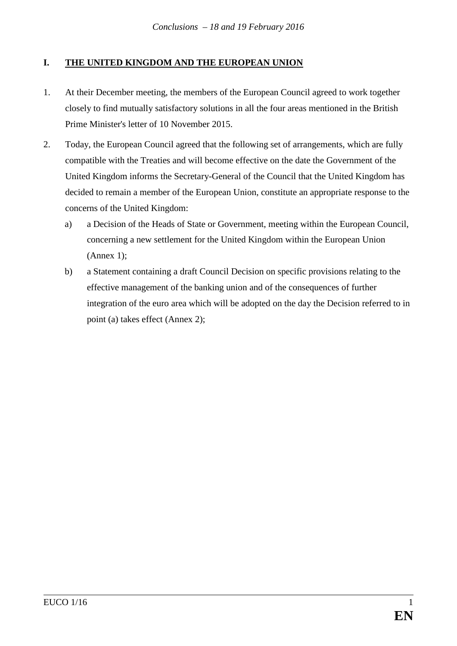## **I. THE UNITED KINGDOM AND THE EUROPEAN UNION**

- 1. At their December meeting, the members of the European Council agreed to work together closely to find mutually satisfactory solutions in all the four areas mentioned in the British Prime Minister's letter of 10 November 2015.
- 2. Today, the European Council agreed that the following set of arrangements, which are fully compatible with the Treaties and will become effective on the date the Government of the United Kingdom informs the Secretary-General of the Council that the United Kingdom has decided to remain a member of the European Union, constitute an appropriate response to the concerns of the United Kingdom:
	- a) a Decision of the Heads of State or Government, meeting within the European Council, concerning a new settlement for the United Kingdom within the European Union (Annex 1);
	- b) a Statement containing a draft Council Decision on specific provisions relating to the effective management of the banking union and of the consequences of further integration of the euro area which will be adopted on the day the Decision referred to in point (a) takes effect (Annex 2);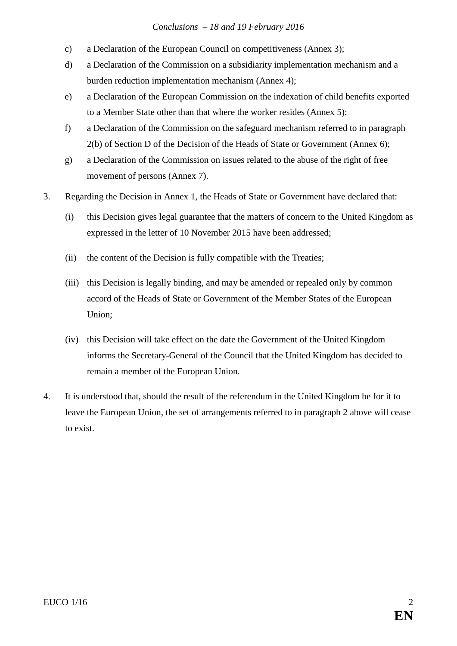- c) a Declaration of the European Council on competitiveness (Annex 3);
- d) a Declaration of the Commission on a subsidiarity implementation mechanism and a burden reduction implementation mechanism (Annex 4);
- e) a Declaration of the European Commission on the indexation of child benefits exported to a Member State other than that where the worker resides (Annex 5);
- f) a Declaration of the Commission on the safeguard mechanism referred to in paragraph 2(b) of Section D of the Decision of the Heads of State or Government (Annex 6);
- g) a Declaration of the Commission on issues related to the abuse of the right of free movement of persons (Annex 7).
- 3. Regarding the Decision in Annex 1, the Heads of State or Government have declared that:
	- (i) this Decision gives legal guarantee that the matters of concern to the United Kingdom as expressed in the letter of 10 November 2015 have been addressed;
	- (ii) the content of the Decision is fully compatible with the Treaties;
	- (iii) this Decision is legally binding, and may be amended or repealed only by common accord of the Heads of State or Government of the Member States of the European Union;
	- (iv) this Decision will take effect on the date the Government of the United Kingdom informs the Secretary-General of the Council that the United Kingdom has decided to remain a member of the European Union.
- 4. It is understood that, should the result of the referendum in the United Kingdom be for it to leave the European Union, the set of arrangements referred to in paragraph 2 above will cease to exist.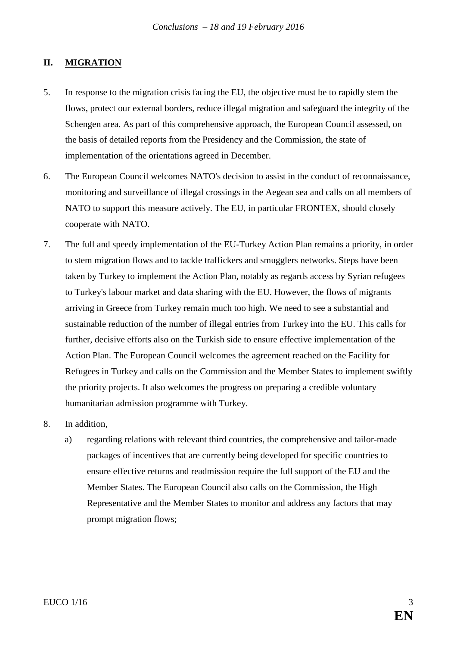### **II. MIGRATION**

- 5. In response to the migration crisis facing the EU, the objective must be to rapidly stem the flows, protect our external borders, reduce illegal migration and safeguard the integrity of the Schengen area. As part of this comprehensive approach, the European Council assessed, on the basis of detailed reports from the Presidency and the Commission, the state of implementation of the orientations agreed in December.
- 6. The European Council welcomes NATO's decision to assist in the conduct of reconnaissance, monitoring and surveillance of illegal crossings in the Aegean sea and calls on all members of NATO to support this measure actively. The EU, in particular FRONTEX, should closely cooperate with NATO.
- 7. The full and speedy implementation of the EU-Turkey Action Plan remains a priority, in order to stem migration flows and to tackle traffickers and smugglers networks. Steps have been taken by Turkey to implement the Action Plan, notably as regards access by Syrian refugees to Turkey's labour market and data sharing with the EU. However, the flows of migrants arriving in Greece from Turkey remain much too high. We need to see a substantial and sustainable reduction of the number of illegal entries from Turkey into the EU. This calls for further, decisive efforts also on the Turkish side to ensure effective implementation of the Action Plan. The European Council welcomes the agreement reached on the Facility for Refugees in Turkey and calls on the Commission and the Member States to implement swiftly the priority projects. It also welcomes the progress on preparing a credible voluntary humanitarian admission programme with Turkey.
- 8. In addition,
	- a) regarding relations with relevant third countries, the comprehensive and tailor-made packages of incentives that are currently being developed for specific countries to ensure effective returns and readmission require the full support of the EU and the Member States. The European Council also calls on the Commission, the High Representative and the Member States to monitor and address any factors that may prompt migration flows;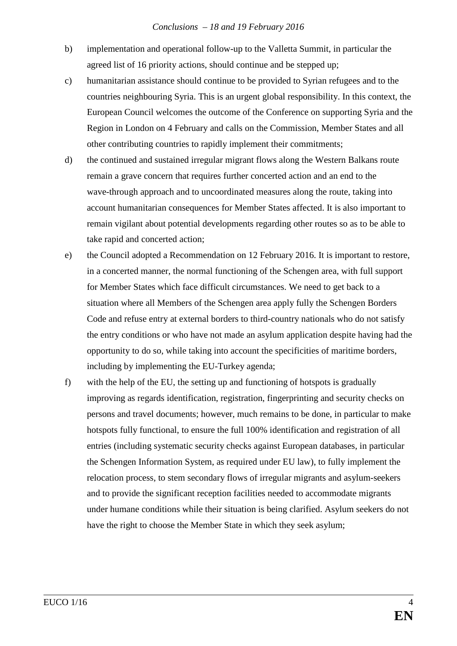- b) implementation and operational follow-up to the Valletta Summit, in particular the agreed list of 16 priority actions, should continue and be stepped up;
- c) humanitarian assistance should continue to be provided to Syrian refugees and to the countries neighbouring Syria. This is an urgent global responsibility. In this context, the European Council welcomes the outcome of the Conference on supporting Syria and the Region in London on 4 February and calls on the Commission, Member States and all other contributing countries to rapidly implement their commitments;
- d) the continued and sustained irregular migrant flows along the Western Balkans route remain a grave concern that requires further concerted action and an end to the wave-through approach and to uncoordinated measures along the route, taking into account humanitarian consequences for Member States affected. It is also important to remain vigilant about potential developments regarding other routes so as to be able to take rapid and concerted action;
- e) the Council adopted a Recommendation on 12 February 2016. It is important to restore, in a concerted manner, the normal functioning of the Schengen area, with full support for Member States which face difficult circumstances. We need to get back to a situation where all Members of the Schengen area apply fully the Schengen Borders Code and refuse entry at external borders to third-country nationals who do not satisfy the entry conditions or who have not made an asylum application despite having had the opportunity to do so, while taking into account the specificities of maritime borders, including by implementing the EU-Turkey agenda;
- f) with the help of the EU, the setting up and functioning of hotspots is gradually improving as regards identification, registration, fingerprinting and security checks on persons and travel documents; however, much remains to be done, in particular to make hotspots fully functional, to ensure the full 100% identification and registration of all entries (including systematic security checks against European databases, in particular the Schengen Information System, as required under EU law), to fully implement the relocation process, to stem secondary flows of irregular migrants and asylum-seekers and to provide the significant reception facilities needed to accommodate migrants under humane conditions while their situation is being clarified. Asylum seekers do not have the right to choose the Member State in which they seek asylum: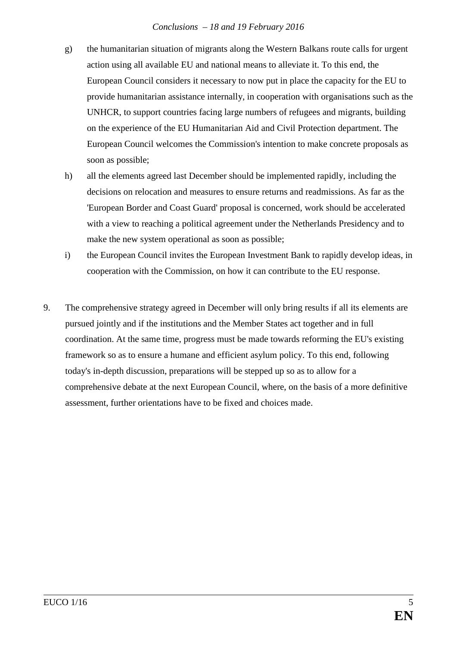- g) the humanitarian situation of migrants along the Western Balkans route calls for urgent action using all available EU and national means to alleviate it. To this end, the European Council considers it necessary to now put in place the capacity for the EU to provide humanitarian assistance internally, in cooperation with organisations such as the UNHCR, to support countries facing large numbers of refugees and migrants, building on the experience of the EU Humanitarian Aid and Civil Protection department. The European Council welcomes the Commission's intention to make concrete proposals as soon as possible;
- h) all the elements agreed last December should be implemented rapidly, including the decisions on relocation and measures to ensure returns and readmissions. As far as the 'European Border and Coast Guard' proposal is concerned, work should be accelerated with a view to reaching a political agreement under the Netherlands Presidency and to make the new system operational as soon as possible;
- i) the European Council invites the European Investment Bank to rapidly develop ideas, in cooperation with the Commission, on how it can contribute to the EU response.
- 9. The comprehensive strategy agreed in December will only bring results if all its elements are pursued jointly and if the institutions and the Member States act together and in full coordination. At the same time, progress must be made towards reforming the EU's existing framework so as to ensure a humane and efficient asylum policy. To this end, following today's in-depth discussion, preparations will be stepped up so as to allow for a comprehensive debate at the next European Council, where, on the basis of a more definitive assessment, further orientations have to be fixed and choices made.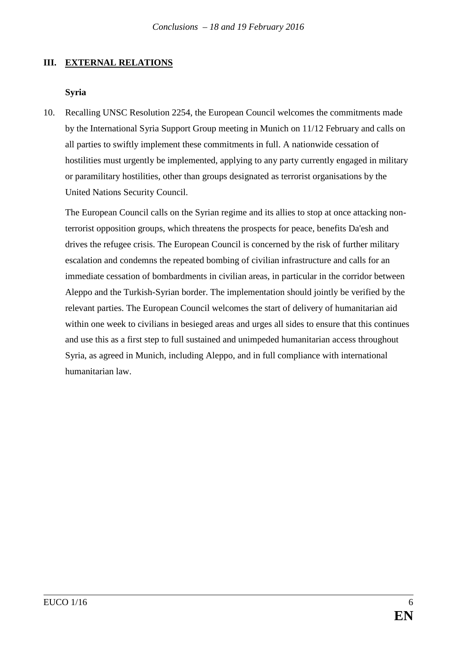## **III. EXTERNAL RELATIONS**

### **Syria**

10. Recalling UNSC Resolution 2254, the European Council welcomes the commitments made by the International Syria Support Group meeting in Munich on 11/12 February and calls on all parties to swiftly implement these commitments in full. A nationwide cessation of hostilities must urgently be implemented, applying to any party currently engaged in military or paramilitary hostilities, other than groups designated as terrorist organisations by the United Nations Security Council.

The European Council calls on the Syrian regime and its allies to stop at once attacking nonterrorist opposition groups, which threatens the prospects for peace, benefits Da'esh and drives the refugee crisis. The European Council is concerned by the risk of further military escalation and condemns the repeated bombing of civilian infrastructure and calls for an immediate cessation of bombardments in civilian areas, in particular in the corridor between Aleppo and the Turkish-Syrian border. The implementation should jointly be verified by the relevant parties. The European Council welcomes the start of delivery of humanitarian aid within one week to civilians in besieged areas and urges all sides to ensure that this continues and use this as a first step to full sustained and unimpeded humanitarian access throughout Syria, as agreed in Munich, including Aleppo, and in full compliance with international humanitarian law.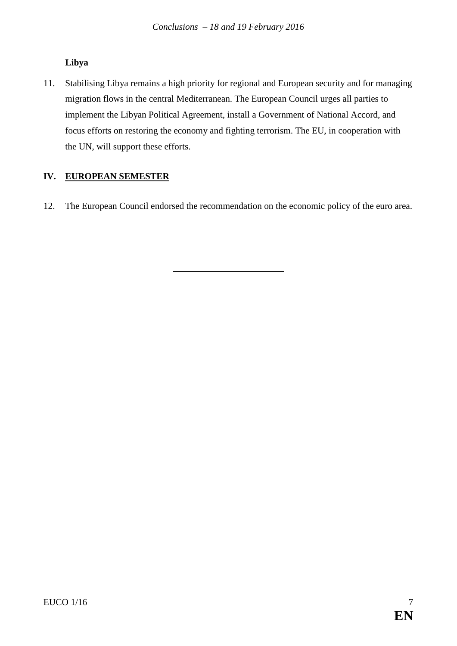## **Libya**

11. Stabilising Libya remains a high priority for regional and European security and for managing migration flows in the central Mediterranean. The European Council urges all parties to implement the Libyan Political Agreement, install a Government of National Accord, and focus efforts on restoring the economy and fighting terrorism. The EU, in cooperation with the UN, will support these efforts.

## **IV. EUROPEAN SEMESTER**

12. The European Council endorsed the recommendation on the economic policy of the euro area.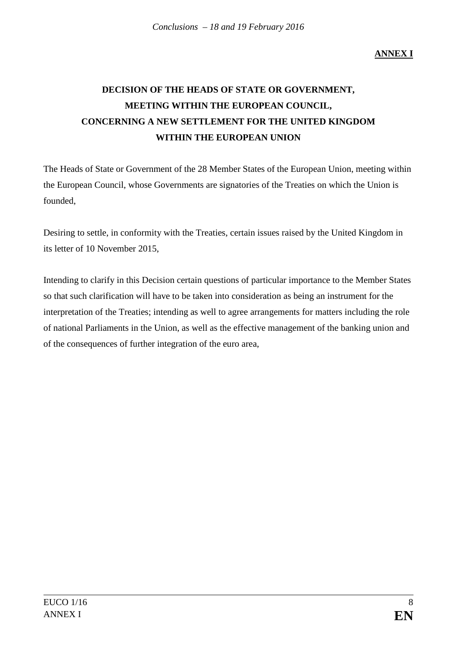**ANNEX I**

# **DECISION OF THE HEADS OF STATE OR GOVERNMENT, MEETING WITHIN THE EUROPEAN COUNCIL, CONCERNING A NEW SETTLEMENT FOR THE UNITED KINGDOM WITHIN THE EUROPEAN UNION**

The Heads of State or Government of the 28 Member States of the European Union, meeting within the European Council, whose Governments are signatories of the Treaties on which the Union is founded,

Desiring to settle, in conformity with the Treaties, certain issues raised by the United Kingdom in its letter of 10 November 2015,

Intending to clarify in this Decision certain questions of particular importance to the Member States so that such clarification will have to be taken into consideration as being an instrument for the interpretation of the Treaties; intending as well to agree arrangements for matters including the role of national Parliaments in the Union, as well as the effective management of the banking union and of the consequences of further integration of the euro area,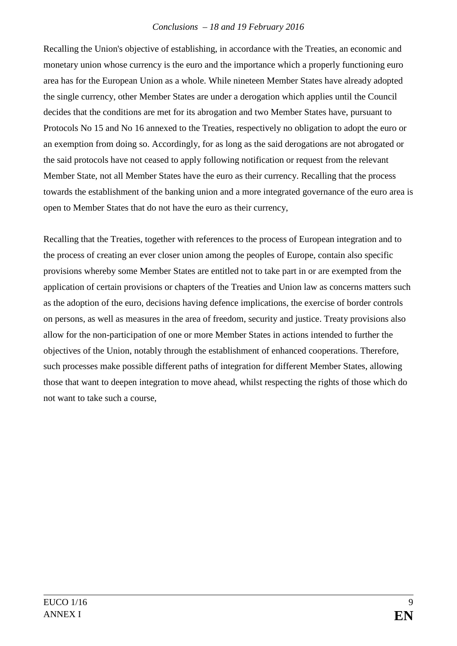Recalling the Union's objective of establishing, in accordance with the Treaties, an economic and monetary union whose currency is the euro and the importance which a properly functioning euro area has for the European Union as a whole. While nineteen Member States have already adopted the single currency, other Member States are under a derogation which applies until the Council decides that the conditions are met for its abrogation and two Member States have, pursuant to Protocols No 15 and No 16 annexed to the Treaties, respectively no obligation to adopt the euro or an exemption from doing so. Accordingly, for as long as the said derogations are not abrogated or the said protocols have not ceased to apply following notification or request from the relevant Member State, not all Member States have the euro as their currency. Recalling that the process towards the establishment of the banking union and a more integrated governance of the euro area is open to Member States that do not have the euro as their currency,

Recalling that the Treaties, together with references to the process of European integration and to the process of creating an ever closer union among the peoples of Europe, contain also specific provisions whereby some Member States are entitled not to take part in or are exempted from the application of certain provisions or chapters of the Treaties and Union law as concerns matters such as the adoption of the euro, decisions having defence implications, the exercise of border controls on persons, as well as measures in the area of freedom, security and justice. Treaty provisions also allow for the non-participation of one or more Member States in actions intended to further the objectives of the Union, notably through the establishment of enhanced cooperations. Therefore, such processes make possible different paths of integration for different Member States, allowing those that want to deepen integration to move ahead, whilst respecting the rights of those which do not want to take such a course,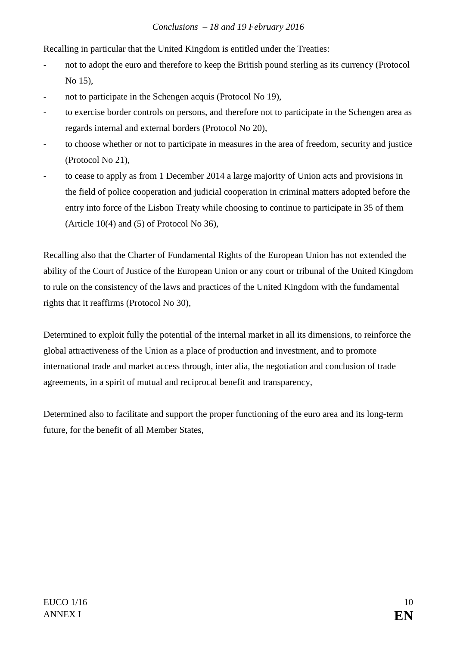Recalling in particular that the United Kingdom is entitled under the Treaties:

- not to adopt the euro and therefore to keep the British pound sterling as its currency (Protocol No 15),
- not to participate in the Schengen acquis (Protocol No 19),
- to exercise border controls on persons, and therefore not to participate in the Schengen area as regards internal and external borders (Protocol No 20),
- to choose whether or not to participate in measures in the area of freedom, security and justice (Protocol No 21),
- to cease to apply as from 1 December 2014 a large majority of Union acts and provisions in the field of police cooperation and judicial cooperation in criminal matters adopted before the entry into force of the Lisbon Treaty while choosing to continue to participate in 35 of them (Article  $10(4)$  and  $(5)$  of Protocol No 36),

Recalling also that the Charter of Fundamental Rights of the European Union has not extended the ability of the Court of Justice of the European Union or any court or tribunal of the United Kingdom to rule on the consistency of the laws and practices of the United Kingdom with the fundamental rights that it reaffirms (Protocol No 30),

Determined to exploit fully the potential of the internal market in all its dimensions, to reinforce the global attractiveness of the Union as a place of production and investment, and to promote international trade and market access through, inter alia, the negotiation and conclusion of trade agreements, in a spirit of mutual and reciprocal benefit and transparency,

Determined also to facilitate and support the proper functioning of the euro area and its long-term future, for the benefit of all Member States,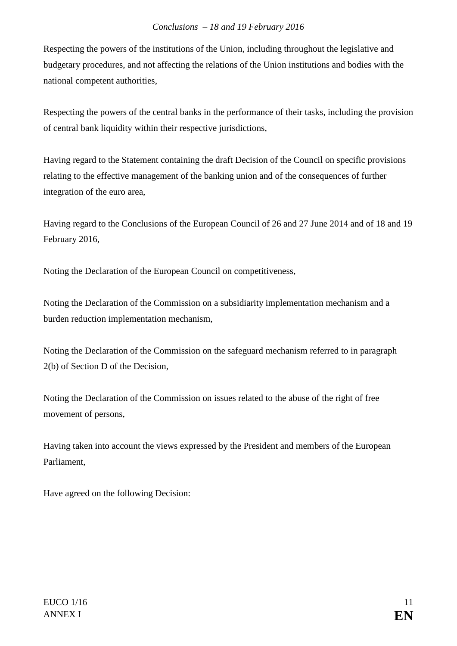Respecting the powers of the institutions of the Union, including throughout the legislative and budgetary procedures, and not affecting the relations of the Union institutions and bodies with the national competent authorities,

Respecting the powers of the central banks in the performance of their tasks, including the provision of central bank liquidity within their respective jurisdictions,

Having regard to the Statement containing the draft Decision of the Council on specific provisions relating to the effective management of the banking union and of the consequences of further integration of the euro area,

Having regard to the Conclusions of the European Council of 26 and 27 June 2014 and of 18 and 19 February 2016,

Noting the Declaration of the European Council on competitiveness,

Noting the Declaration of the Commission on a subsidiarity implementation mechanism and a burden reduction implementation mechanism,

Noting the Declaration of the Commission on the safeguard mechanism referred to in paragraph 2(b) of Section D of the Decision,

Noting the Declaration of the Commission on issues related to the abuse of the right of free movement of persons,

Having taken into account the views expressed by the President and members of the European Parliament,

Have agreed on the following Decision: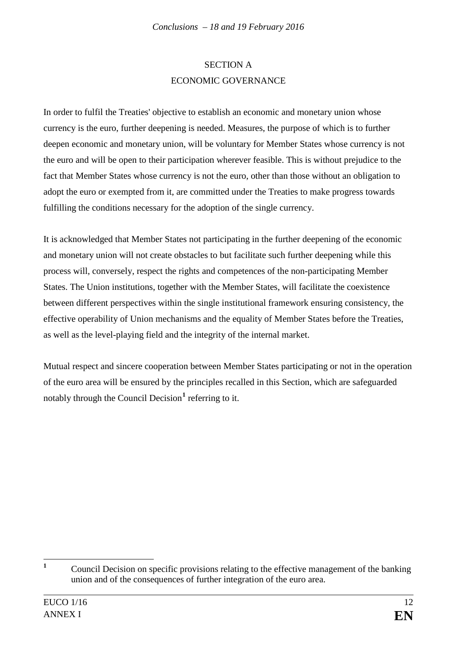# SECTION A ECONOMIC GOVERNANCE

In order to fulfil the Treaties' objective to establish an economic and monetary union whose currency is the euro, further deepening is needed. Measures, the purpose of which is to further deepen economic and monetary union, will be voluntary for Member States whose currency is not the euro and will be open to their participation wherever feasible. This is without prejudice to the fact that Member States whose currency is not the euro, other than those without an obligation to adopt the euro or exempted from it, are committed under the Treaties to make progress towards fulfilling the conditions necessary for the adoption of the single currency.

It is acknowledged that Member States not participating in the further deepening of the economic and monetary union will not create obstacles to but facilitate such further deepening while this process will, conversely, respect the rights and competences of the non-participating Member States. The Union institutions, together with the Member States, will facilitate the coexistence between different perspectives within the single institutional framework ensuring consistency, the effective operability of Union mechanisms and the equality of Member States before the Treaties, as well as the level-playing field and the integrity of the internal market.

Mutual respect and sincere cooperation between Member States participating or not in the operation of the euro area will be ensured by the principles recalled in this Section, which are safeguarded notably through the Council Decision<sup>[1](#page-12-0)</sup> referring to it.

<span id="page-12-0"></span>**<sup>1</sup>** Council Decision on specific provisions relating to the effective management of the banking union and of the consequences of further integration of the euro area.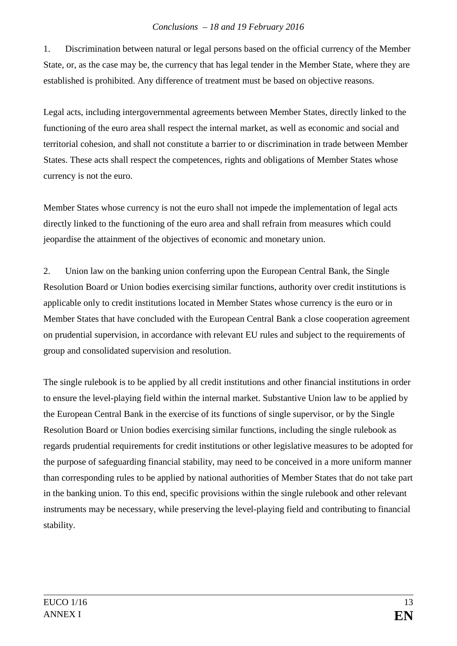1. Discrimination between natural or legal persons based on the official currency of the Member State, or, as the case may be, the currency that has legal tender in the Member State, where they are established is prohibited. Any difference of treatment must be based on objective reasons.

Legal acts, including intergovernmental agreements between Member States, directly linked to the functioning of the euro area shall respect the internal market, as well as economic and social and territorial cohesion, and shall not constitute a barrier to or discrimination in trade between Member States. These acts shall respect the competences, rights and obligations of Member States whose currency is not the euro.

Member States whose currency is not the euro shall not impede the implementation of legal acts directly linked to the functioning of the euro area and shall refrain from measures which could jeopardise the attainment of the objectives of economic and monetary union.

2. Union law on the banking union conferring upon the European Central Bank, the Single Resolution Board or Union bodies exercising similar functions, authority over credit institutions is applicable only to credit institutions located in Member States whose currency is the euro or in Member States that have concluded with the European Central Bank a close cooperation agreement on prudential supervision, in accordance with relevant EU rules and subject to the requirements of group and consolidated supervision and resolution.

The single rulebook is to be applied by all credit institutions and other financial institutions in order to ensure the level-playing field within the internal market. Substantive Union law to be applied by the European Central Bank in the exercise of its functions of single supervisor, or by the Single Resolution Board or Union bodies exercising similar functions, including the single rulebook as regards prudential requirements for credit institutions or other legislative measures to be adopted for the purpose of safeguarding financial stability, may need to be conceived in a more uniform manner than corresponding rules to be applied by national authorities of Member States that do not take part in the banking union. To this end, specific provisions within the single rulebook and other relevant instruments may be necessary, while preserving the level-playing field and contributing to financial stability.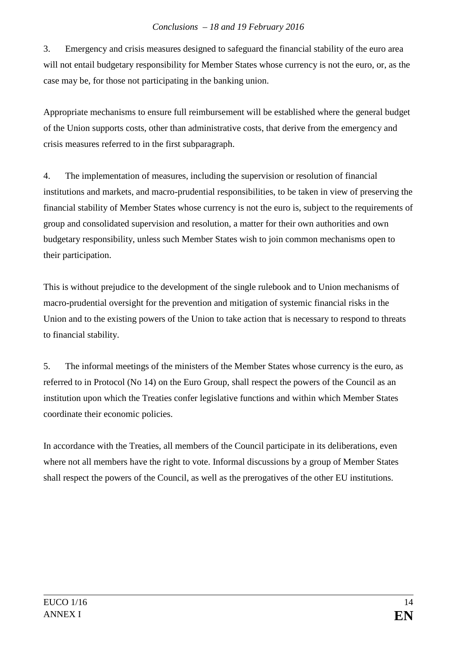3. Emergency and crisis measures designed to safeguard the financial stability of the euro area will not entail budgetary responsibility for Member States whose currency is not the euro, or, as the case may be, for those not participating in the banking union.

Appropriate mechanisms to ensure full reimbursement will be established where the general budget of the Union supports costs, other than administrative costs, that derive from the emergency and crisis measures referred to in the first subparagraph.

4. The implementation of measures, including the supervision or resolution of financial institutions and markets, and macro-prudential responsibilities, to be taken in view of preserving the financial stability of Member States whose currency is not the euro is, subject to the requirements of group and consolidated supervision and resolution, a matter for their own authorities and own budgetary responsibility, unless such Member States wish to join common mechanisms open to their participation.

This is without prejudice to the development of the single rulebook and to Union mechanisms of macro-prudential oversight for the prevention and mitigation of systemic financial risks in the Union and to the existing powers of the Union to take action that is necessary to respond to threats to financial stability.

5. The informal meetings of the ministers of the Member States whose currency is the euro, as referred to in Protocol (No 14) on the Euro Group, shall respect the powers of the Council as an institution upon which the Treaties confer legislative functions and within which Member States coordinate their economic policies.

In accordance with the Treaties, all members of the Council participate in its deliberations, even where not all members have the right to vote. Informal discussions by a group of Member States shall respect the powers of the Council, as well as the prerogatives of the other EU institutions.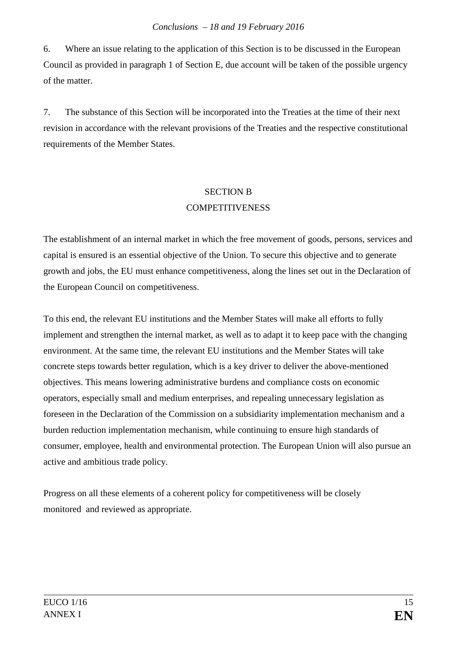6. Where an issue relating to the application of this Section is to be discussed in the European Council as provided in paragraph 1 of Section E, due account will be taken of the possible urgency of the matter.

7. The substance of this Section will be incorporated into the Treaties at the time of their next revision in accordance with the relevant provisions of the Treaties and the respective constitutional requirements of the Member States.

# SECTION B **COMPETITIVENESS**

The establishment of an internal market in which the free movement of goods, persons, services and capital is ensured is an essential objective of the Union. To secure this objective and to generate growth and jobs, the EU must enhance competitiveness, along the lines set out in the Declaration of the European Council on competitiveness.

To this end, the relevant EU institutions and the Member States will make all efforts to fully implement and strengthen the internal market, as well as to adapt it to keep pace with the changing environment. At the same time, the relevant EU institutions and the Member States will take concrete steps towards better regulation, which is a key driver to deliver the above-mentioned objectives. This means lowering administrative burdens and compliance costs on economic operators, especially small and medium enterprises, and repealing unnecessary legislation as foreseen in the Declaration of the Commission on a subsidiarity implementation mechanism and a burden reduction implementation mechanism, while continuing to ensure high standards of consumer, employee, health and environmental protection. The European Union will also pursue an active and ambitious trade policy.

Progress on all these elements of a coherent policy for competitiveness will be closely monitored and reviewed as appropriate.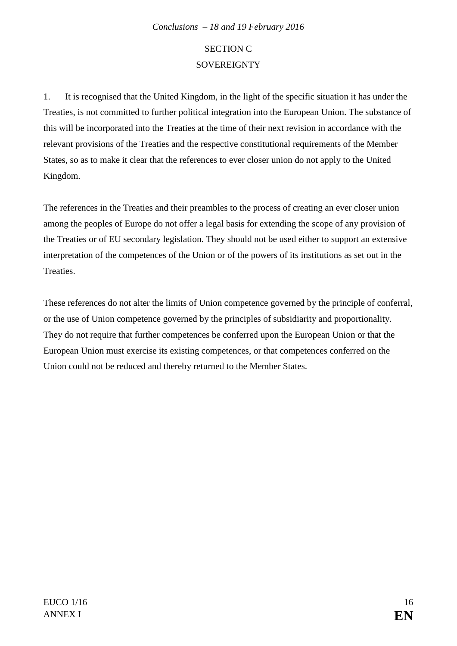# SECTION C **SOVEREIGNTY**

1. It is recognised that the United Kingdom, in the light of the specific situation it has under the Treaties, is not committed to further political integration into the European Union. The substance of this will be incorporated into the Treaties at the time of their next revision in accordance with the relevant provisions of the Treaties and the respective constitutional requirements of the Member States, so as to make it clear that the references to ever closer union do not apply to the United Kingdom.

The references in the Treaties and their preambles to the process of creating an ever closer union among the peoples of Europe do not offer a legal basis for extending the scope of any provision of the Treaties or of EU secondary legislation. They should not be used either to support an extensive interpretation of the competences of the Union or of the powers of its institutions as set out in the Treaties.

These references do not alter the limits of Union competence governed by the principle of conferral, or the use of Union competence governed by the principles of subsidiarity and proportionality. They do not require that further competences be conferred upon the European Union or that the European Union must exercise its existing competences, or that competences conferred on the Union could not be reduced and thereby returned to the Member States.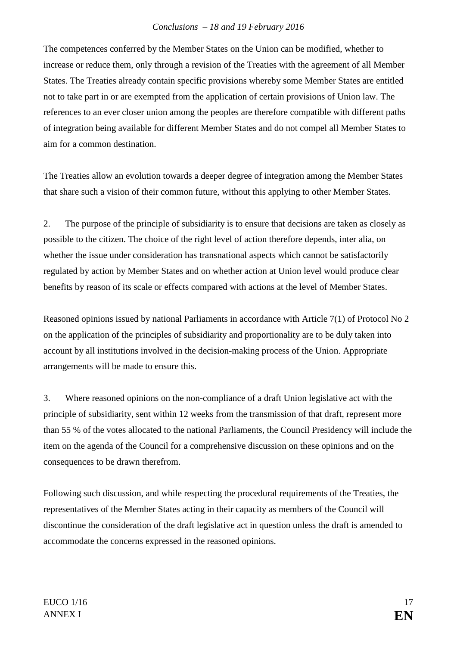The competences conferred by the Member States on the Union can be modified, whether to increase or reduce them, only through a revision of the Treaties with the agreement of all Member States. The Treaties already contain specific provisions whereby some Member States are entitled not to take part in or are exempted from the application of certain provisions of Union law. The references to an ever closer union among the peoples are therefore compatible with different paths of integration being available for different Member States and do not compel all Member States to aim for a common destination.

The Treaties allow an evolution towards a deeper degree of integration among the Member States that share such a vision of their common future, without this applying to other Member States.

2. The purpose of the principle of subsidiarity is to ensure that decisions are taken as closely as possible to the citizen. The choice of the right level of action therefore depends, inter alia, on whether the issue under consideration has transnational aspects which cannot be satisfactorily regulated by action by Member States and on whether action at Union level would produce clear benefits by reason of its scale or effects compared with actions at the level of Member States.

Reasoned opinions issued by national Parliaments in accordance with Article 7(1) of Protocol No 2 on the application of the principles of subsidiarity and proportionality are to be duly taken into account by all institutions involved in the decision-making process of the Union. Appropriate arrangements will be made to ensure this.

3. Where reasoned opinions on the non-compliance of a draft Union legislative act with the principle of subsidiarity, sent within 12 weeks from the transmission of that draft, represent more than 55 % of the votes allocated to the national Parliaments, the Council Presidency will include the item on the agenda of the Council for a comprehensive discussion on these opinions and on the consequences to be drawn therefrom.

Following such discussion, and while respecting the procedural requirements of the Treaties, the representatives of the Member States acting in their capacity as members of the Council will discontinue the consideration of the draft legislative act in question unless the draft is amended to accommodate the concerns expressed in the reasoned opinions.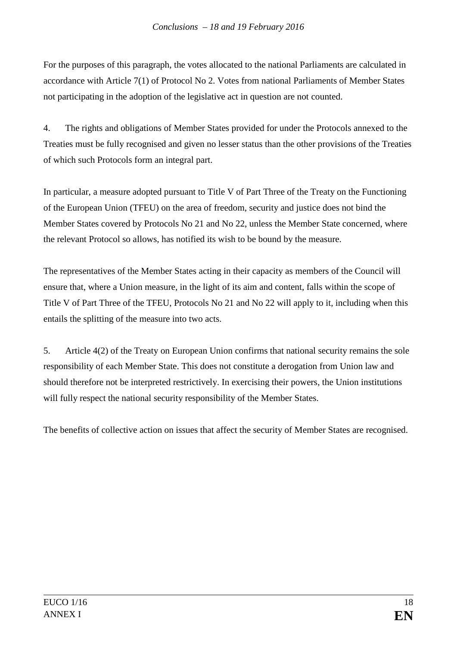For the purposes of this paragraph, the votes allocated to the national Parliaments are calculated in accordance with Article 7(1) of Protocol No 2. Votes from national Parliaments of Member States not participating in the adoption of the legislative act in question are not counted.

4. The rights and obligations of Member States provided for under the Protocols annexed to the Treaties must be fully recognised and given no lesser status than the other provisions of the Treaties of which such Protocols form an integral part.

In particular, a measure adopted pursuant to Title V of Part Three of the Treaty on the Functioning of the European Union (TFEU) on the area of freedom, security and justice does not bind the Member States covered by Protocols No 21 and No 22, unless the Member State concerned, where the relevant Protocol so allows, has notified its wish to be bound by the measure.

The representatives of the Member States acting in their capacity as members of the Council will ensure that, where a Union measure, in the light of its aim and content, falls within the scope of Title V of Part Three of the TFEU, Protocols No 21 and No 22 will apply to it, including when this entails the splitting of the measure into two acts.

5. Article 4(2) of the Treaty on European Union confirms that national security remains the sole responsibility of each Member State. This does not constitute a derogation from Union law and should therefore not be interpreted restrictively. In exercising their powers, the Union institutions will fully respect the national security responsibility of the Member States.

The benefits of collective action on issues that affect the security of Member States are recognised.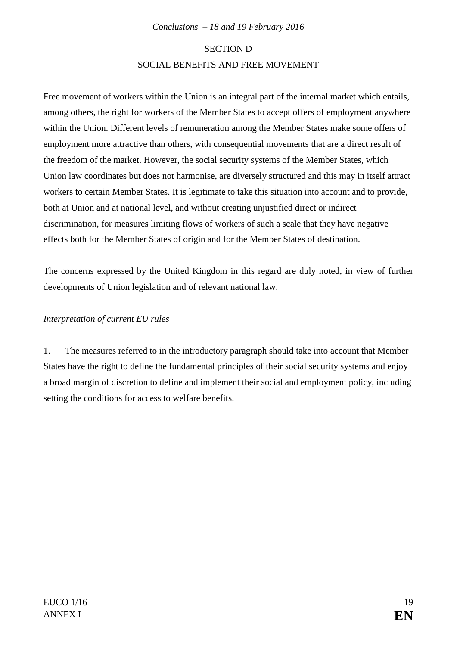# SECTION D SOCIAL BENEFITS AND FREE MOVEMENT

Free movement of workers within the Union is an integral part of the internal market which entails, among others, the right for workers of the Member States to accept offers of employment anywhere within the Union. Different levels of remuneration among the Member States make some offers of employment more attractive than others, with consequential movements that are a direct result of the freedom of the market. However, the social security systems of the Member States, which Union law coordinates but does not harmonise, are diversely structured and this may in itself attract workers to certain Member States. It is legitimate to take this situation into account and to provide, both at Union and at national level, and without creating unjustified direct or indirect discrimination, for measures limiting flows of workers of such a scale that they have negative effects both for the Member States of origin and for the Member States of destination.

The concerns expressed by the United Kingdom in this regard are duly noted, in view of further developments of Union legislation and of relevant national law.

### *Interpretation of current EU rules*

1. The measures referred to in the introductory paragraph should take into account that Member States have the right to define the fundamental principles of their social security systems and enjoy a broad margin of discretion to define and implement their social and employment policy, including setting the conditions for access to welfare benefits.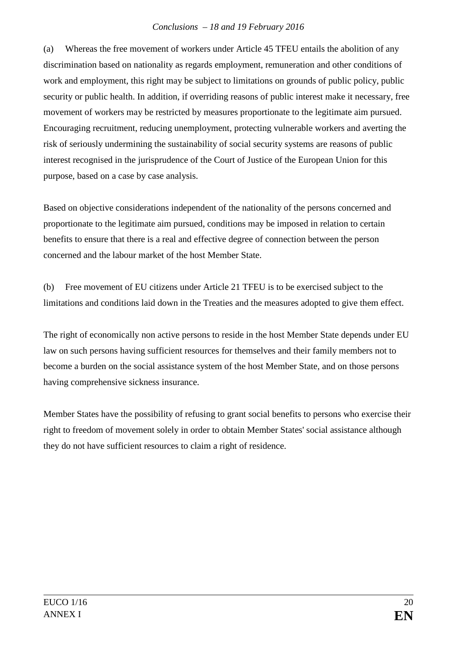(a) Whereas the free movement of workers under Article 45 TFEU entails the abolition of any discrimination based on nationality as regards employment, remuneration and other conditions of work and employment, this right may be subject to limitations on grounds of public policy, public security or public health. In addition, if overriding reasons of public interest make it necessary, free movement of workers may be restricted by measures proportionate to the legitimate aim pursued. Encouraging recruitment, reducing unemployment, protecting vulnerable workers and averting the risk of seriously undermining the sustainability of social security systems are reasons of public interest recognised in the jurisprudence of the Court of Justice of the European Union for this purpose, based on a case by case analysis.

Based on objective considerations independent of the nationality of the persons concerned and proportionate to the legitimate aim pursued, conditions may be imposed in relation to certain benefits to ensure that there is a real and effective degree of connection between the person concerned and the labour market of the host Member State.

(b) Free movement of EU citizens under Article 21 TFEU is to be exercised subject to the limitations and conditions laid down in the Treaties and the measures adopted to give them effect.

The right of economically non active persons to reside in the host Member State depends under EU law on such persons having sufficient resources for themselves and their family members not to become a burden on the social assistance system of the host Member State, and on those persons having comprehensive sickness insurance.

Member States have the possibility of refusing to grant social benefits to persons who exercise their right to freedom of movement solely in order to obtain Member States' social assistance although they do not have sufficient resources to claim a right of residence.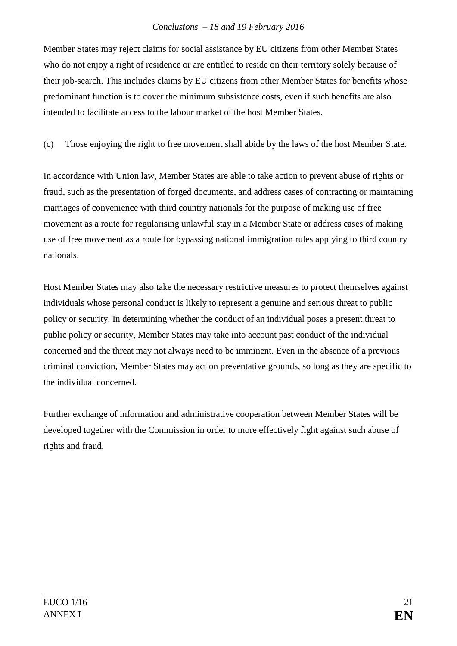Member States may reject claims for social assistance by EU citizens from other Member States who do not enjoy a right of residence or are entitled to reside on their territory solely because of their job-search. This includes claims by EU citizens from other Member States for benefits whose predominant function is to cover the minimum subsistence costs, even if such benefits are also intended to facilitate access to the labour market of the host Member States.

(c) Those enjoying the right to free movement shall abide by the laws of the host Member State.

In accordance with Union law, Member States are able to take action to prevent abuse of rights or fraud, such as the presentation of forged documents, and address cases of contracting or maintaining marriages of convenience with third country nationals for the purpose of making use of free movement as a route for regularising unlawful stay in a Member State or address cases of making use of free movement as a route for bypassing national immigration rules applying to third country nationals.

Host Member States may also take the necessary restrictive measures to protect themselves against individuals whose personal conduct is likely to represent a genuine and serious threat to public policy or security. In determining whether the conduct of an individual poses a present threat to public policy or security, Member States may take into account past conduct of the individual concerned and the threat may not always need to be imminent. Even in the absence of a previous criminal conviction, Member States may act on preventative grounds, so long as they are specific to the individual concerned.

Further exchange of information and administrative cooperation between Member States will be developed together with the Commission in order to more effectively fight against such abuse of rights and fraud.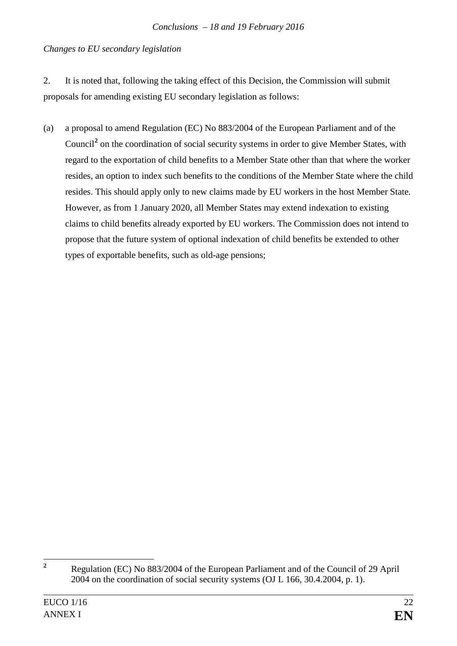### *Changes to EU secondary legislation*

2. It is noted that, following the taking effect of this Decision, the Commission will submit proposals for amending existing EU secondary legislation as follows:

(a) a proposal to amend Regulation (EC) No 883/2004 of the European Parliament and of the Council**[2](#page-22-0)** on the coordination of social security systems in order to give Member States, with regard to the exportation of child benefits to a Member State other than that where the worker resides, an option to index such benefits to the conditions of the Member State where the child resides. This should apply only to new claims made by EU workers in the host Member State. However, as from 1 January 2020, all Member States may extend indexation to existing claims to child benefits already exported by EU workers. The Commission does not intend to propose that the future system of optional indexation of child benefits be extended to other types of exportable benefits, such as old-age pensions;

<span id="page-22-0"></span>**<sup>2</sup>** Regulation (EC) No 883/2004 of the European Parliament and of the Council of 29 April 2004 on the coordination of social security systems (OJ L 166, 30.4.2004, p. 1).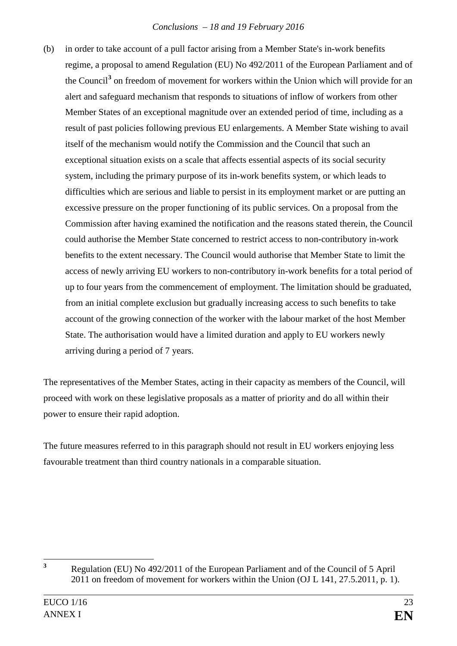(b) in order to take account of a pull factor arising from a Member State's in-work benefits regime, a proposal to amend Regulation (EU) No 492/2011 of the European Parliament and of the Council**[3](#page-23-0)** on freedom of movement for workers within the Union which will provide for an alert and safeguard mechanism that responds to situations of inflow of workers from other Member States of an exceptional magnitude over an extended period of time, including as a result of past policies following previous EU enlargements. A Member State wishing to avail itself of the mechanism would notify the Commission and the Council that such an exceptional situation exists on a scale that affects essential aspects of its social security system, including the primary purpose of its in-work benefits system, or which leads to difficulties which are serious and liable to persist in its employment market or are putting an excessive pressure on the proper functioning of its public services. On a proposal from the Commission after having examined the notification and the reasons stated therein, the Council could authorise the Member State concerned to restrict access to non-contributory in-work benefits to the extent necessary. The Council would authorise that Member State to limit the access of newly arriving EU workers to non-contributory in-work benefits for a total period of up to four years from the commencement of employment. The limitation should be graduated, from an initial complete exclusion but gradually increasing access to such benefits to take account of the growing connection of the worker with the labour market of the host Member State. The authorisation would have a limited duration and apply to EU workers newly arriving during a period of 7 years.

The representatives of the Member States, acting in their capacity as members of the Council, will proceed with work on these legislative proposals as a matter of priority and do all within their power to ensure their rapid adoption.

The future measures referred to in this paragraph should not result in EU workers enjoying less favourable treatment than third country nationals in a comparable situation.

<span id="page-23-0"></span>**<sup>3</sup>** Regulation (EU) No 492/2011 of the European Parliament and of the Council of 5 April 2011 on freedom of movement for workers within the Union (OJ L 141, 27.5.2011, p. 1).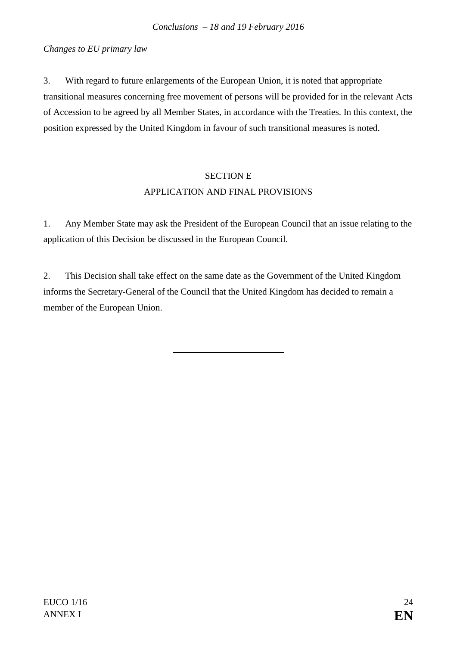*Changes to EU primary law*

3. With regard to future enlargements of the European Union, it is noted that appropriate transitional measures concerning free movement of persons will be provided for in the relevant Acts of Accession to be agreed by all Member States, in accordance with the Treaties. In this context, the position expressed by the United Kingdom in favour of such transitional measures is noted.

# SECTION E APPLICATION AND FINAL PROVISIONS

1. Any Member State may ask the President of the European Council that an issue relating to the application of this Decision be discussed in the European Council.

2. This Decision shall take effect on the same date as the Government of the United Kingdom informs the Secretary-General of the Council that the United Kingdom has decided to remain a member of the European Union.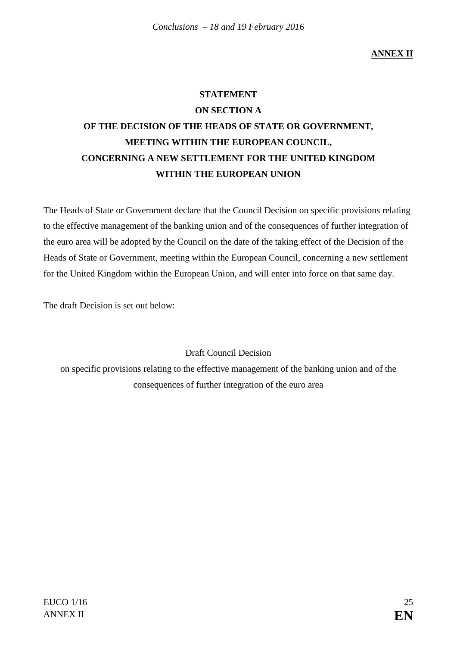**ANNEX II**

# **STATEMENT ON SECTION A OF THE DECISION OF THE HEADS OF STATE OR GOVERNMENT, MEETING WITHIN THE EUROPEAN COUNCIL, CONCERNING A NEW SETTLEMENT FOR THE UNITED KINGDOM WITHIN THE EUROPEAN UNION**

The Heads of State or Government declare that the Council Decision on specific provisions relating to the effective management of the banking union and of the consequences of further integration of the euro area will be adopted by the Council on the date of the taking effect of the Decision of the Heads of State or Government, meeting within the European Council, concerning a new settlement for the United Kingdom within the European Union, and will enter into force on that same day.

The draft Decision is set out below:

Draft Council Decision

on specific provisions relating to the effective management of the banking union and of the consequences of further integration of the euro area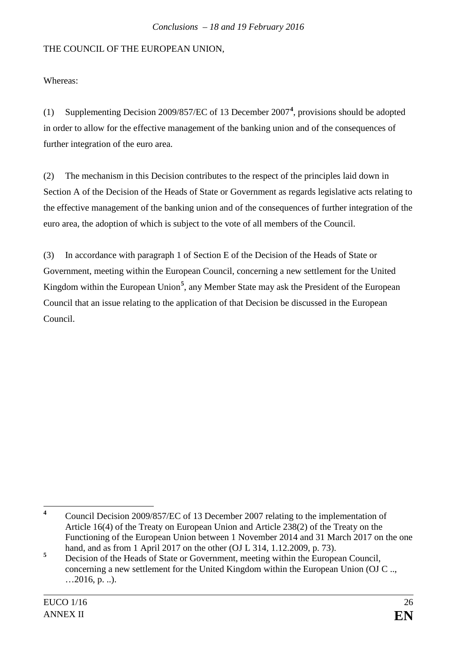## THE COUNCIL OF THE EUROPEAN UNION,

Whereas:

(1) Supplementing Decision 2009/857/EC of 13 December 2007**[4](#page-26-0)** , provisions should be adopted in order to allow for the effective management of the banking union and of the consequences of further integration of the euro area.

(2) The mechanism in this Decision contributes to the respect of the principles laid down in Section A of the Decision of the Heads of State or Government as regards legislative acts relating to the effective management of the banking union and of the consequences of further integration of the euro area, the adoption of which is subject to the vote of all members of the Council.

(3) In accordance with paragraph 1 of Section E of the Decision of the Heads of State or Government, meeting within the European Council, concerning a new settlement for the United Kingdom within the European Union**[5](#page-26-1)** , any Member State may ask the President of the European Council that an issue relating to the application of that Decision be discussed in the European Council.

<span id="page-26-0"></span>**<sup>4</sup>** Council Decision 2009/857/EC of 13 December 2007 relating to the implementation of Article 16(4) of the Treaty on European Union and Article 238(2) of the Treaty on the Functioning of the European Union between 1 November 2014 and 31 March 2017 on the one hand, and as from 1 April 2017 on the other (OJ L 314, 1.12.2009, p. 73).

<span id="page-26-1"></span><sup>&</sup>lt;sup>5</sup> Decision of the Heads of State or Government, meeting within the European Council, concerning a new settlement for the United Kingdom within the European Union (OJ C ..,  $\dots$ 2016, p. ..).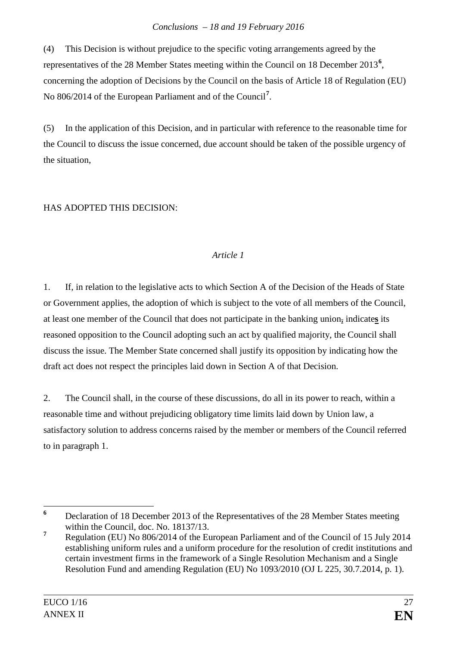(4) This Decision is without prejudice to the specific voting arrangements agreed by the representatives of the 28 Member States meeting within the Council on 18 December 2013**[6](#page-27-0)** , concerning the adoption of Decisions by the Council on the basis of Article 18 of Regulation (EU) No 806/2014 of the European Parliament and of the Council**[7](#page-27-1)** .

(5) In the application of this Decision, and in particular with reference to the reasonable time for the Council to discuss the issue concerned, due account should be taken of the possible urgency of the situation,

## HAS ADOPTED THIS DECISION:

## *Article 1*

1. If, in relation to the legislative acts to which Section A of the Decision of the Heads of State or Government applies, the adoption of which is subject to the vote of all members of the Council, at least one member of the Council that does not participate in the banking union, indicate**s** its reasoned opposition to the Council adopting such an act by qualified majority, the Council shall discuss the issue. The Member State concerned shall justify its opposition by indicating how the draft act does not respect the principles laid down in Section A of that Decision.

2. The Council shall, in the course of these discussions, do all in its power to reach, within a reasonable time and without prejudicing obligatory time limits laid down by Union law, a satisfactory solution to address concerns raised by the member or members of the Council referred to in paragraph 1.

<span id="page-27-0"></span>**<sup>6</sup>** Declaration of 18 December 2013 of the Representatives of the 28 Member States meeting within the Council, doc. No. 18137/13.

<span id="page-27-1"></span>**<sup>7</sup>** Regulation (EU) No 806/2014 of the European Parliament and of the Council of 15 July 2014 establishing uniform rules and a uniform procedure for the resolution of credit institutions and certain investment firms in the framework of a Single Resolution Mechanism and a Single Resolution Fund and amending Regulation (EU) No 1093/2010 (OJ L 225, 30.7.2014, p. 1).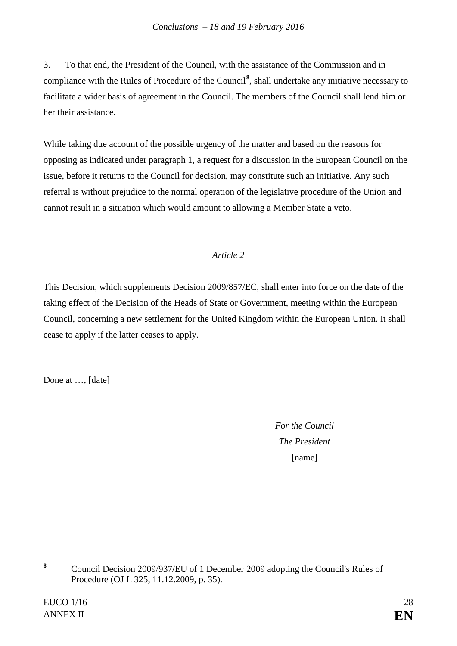3. To that end, the President of the Council, with the assistance of the Commission and in compliance with the Rules of Procedure of the Council**[8](#page-28-0)** , shall undertake any initiative necessary to facilitate a wider basis of agreement in the Council. The members of the Council shall lend him or her their assistance.

While taking due account of the possible urgency of the matter and based on the reasons for opposing as indicated under paragraph 1, a request for a discussion in the European Council on the issue, before it returns to the Council for decision, may constitute such an initiative. Any such referral is without prejudice to the normal operation of the legislative procedure of the Union and cannot result in a situation which would amount to allowing a Member State a veto.

## *Article 2*

This Decision, which supplements Decision 2009/857/EC, shall enter into force on the date of the taking effect of the Decision of the Heads of State or Government, meeting within the European Council, concerning a new settlement for the United Kingdom within the European Union. It shall cease to apply if the latter ceases to apply.

Done at …, [date]

*For the Council The President* [name]

<span id="page-28-0"></span> **<sup>8</sup>** Council Decision 2009/937/EU of 1 December 2009 adopting the Council's Rules of Procedure (OJ L 325, 11.12.2009, p. 35).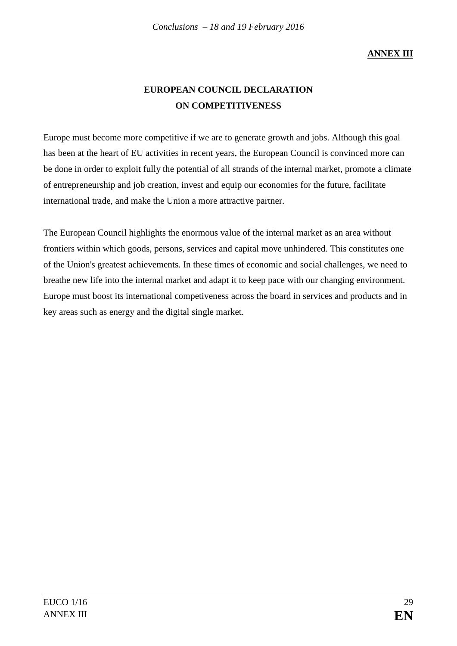## **ANNEX III**

## **EUROPEAN COUNCIL DECLARATION ON COMPETITIVENESS**

Europe must become more competitive if we are to generate growth and jobs. Although this goal has been at the heart of EU activities in recent years, the European Council is convinced more can be done in order to exploit fully the potential of all strands of the internal market, promote a climate of entrepreneurship and job creation, invest and equip our economies for the future, facilitate international trade, and make the Union a more attractive partner.

The European Council highlights the enormous value of the internal market as an area without frontiers within which goods, persons, services and capital move unhindered. This constitutes one of the Union's greatest achievements. In these times of economic and social challenges, we need to breathe new life into the internal market and adapt it to keep pace with our changing environment. Europe must boost its international competiveness across the board in services and products and in key areas such as energy and the digital single market.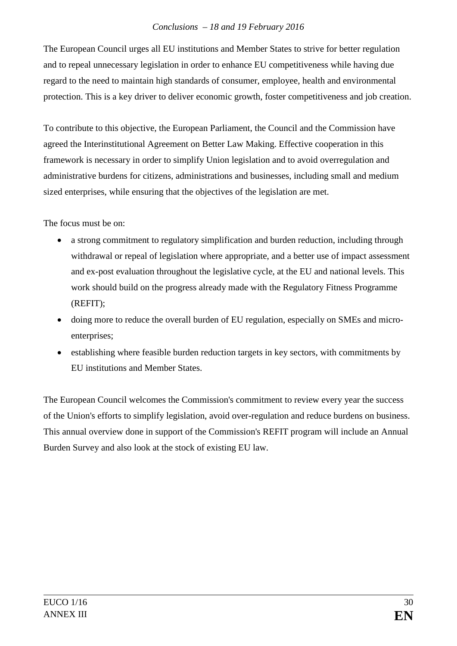The European Council urges all EU institutions and Member States to strive for better regulation and to repeal unnecessary legislation in order to enhance EU competitiveness while having due regard to the need to maintain high standards of consumer, employee, health and environmental protection. This is a key driver to deliver economic growth, foster competitiveness and job creation.

To contribute to this objective, the European Parliament, the Council and the Commission have agreed the Interinstitutional Agreement on Better Law Making. Effective cooperation in this framework is necessary in order to simplify Union legislation and to avoid overregulation and administrative burdens for citizens, administrations and businesses, including small and medium sized enterprises, while ensuring that the objectives of the legislation are met.

The focus must be on:

- a strong commitment to regulatory simplification and burden reduction, including through withdrawal or repeal of legislation where appropriate, and a better use of impact assessment and ex-post evaluation throughout the legislative cycle, at the EU and national levels. This work should build on the progress already made with the Regulatory Fitness Programme (REFIT);
- doing more to reduce the overall burden of EU regulation, especially on SMEs and microenterprises;
- establishing where feasible burden reduction targets in key sectors, with commitments by EU institutions and Member States.

The European Council welcomes the Commission's commitment to review every year the success of the Union's efforts to simplify legislation, avoid over-regulation and reduce burdens on business. This annual overview done in support of the Commission's REFIT program will include an Annual Burden Survey and also look at the stock of existing EU law.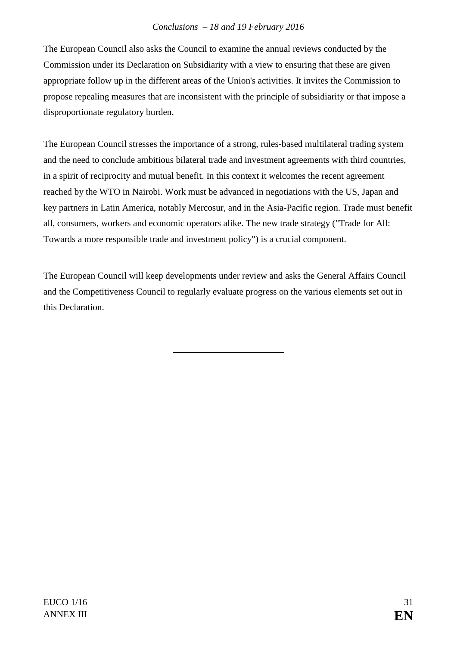The European Council also asks the Council to examine the annual reviews conducted by the Commission under its Declaration on Subsidiarity with a view to ensuring that these are given appropriate follow up in the different areas of the Union's activities. It invites the Commission to propose repealing measures that are inconsistent with the principle of subsidiarity or that impose a disproportionate regulatory burden.

The European Council stresses the importance of a strong, rules-based multilateral trading system and the need to conclude ambitious bilateral trade and investment agreements with third countries, in a spirit of reciprocity and mutual benefit. In this context it welcomes the recent agreement reached by the WTO in Nairobi. Work must be advanced in negotiations with the US, Japan and key partners in Latin America, notably Mercosur, and in the Asia-Pacific region. Trade must benefit all, consumers, workers and economic operators alike. The new trade strategy ("Trade for All: Towards a more responsible trade and investment policy") is a crucial component.

The European Council will keep developments under review and asks the General Affairs Council and the Competitiveness Council to regularly evaluate progress on the various elements set out in this Declaration.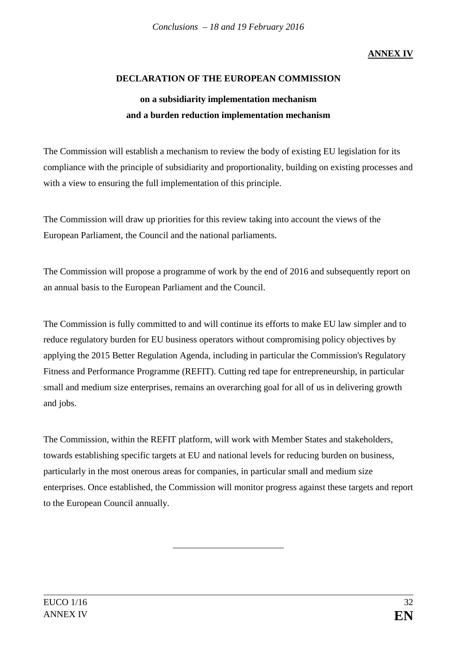## **ANNEX IV**

#### **DECLARATION OF THE EUROPEAN COMMISSION**

## **on a subsidiarity implementation mechanism and a burden reduction implementation mechanism**

The Commission will establish a mechanism to review the body of existing EU legislation for its compliance with the principle of subsidiarity and proportionality, building on existing processes and with a view to ensuring the full implementation of this principle.

The Commission will draw up priorities for this review taking into account the views of the European Parliament, the Council and the national parliaments.

The Commission will propose a programme of work by the end of 2016 and subsequently report on an annual basis to the European Parliament and the Council.

The Commission is fully committed to and will continue its efforts to make EU law simpler and to reduce regulatory burden for EU business operators without compromising policy objectives by applying the 2015 Better Regulation Agenda, including in particular the Commission's Regulatory Fitness and Performance Programme (REFIT). Cutting red tape for entrepreneurship, in particular small and medium size enterprises, remains an overarching goal for all of us in delivering growth and jobs.

The Commission, within the REFIT platform, will work with Member States and stakeholders, towards establishing specific targets at EU and national levels for reducing burden on business, particularly in the most onerous areas for companies, in particular small and medium size enterprises. Once established, the Commission will monitor progress against these targets and report to the European Council annually.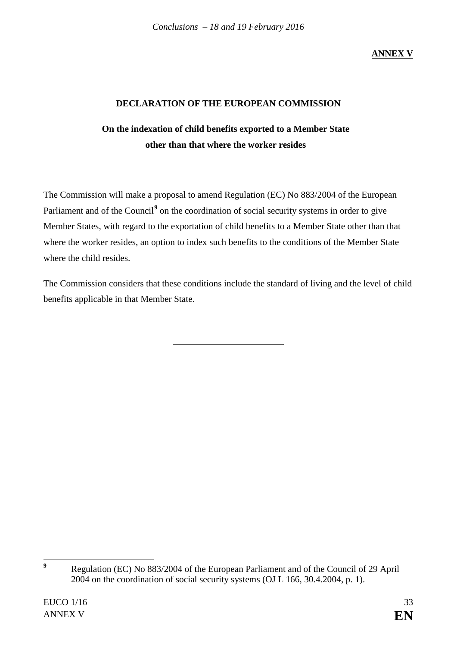**ANNEX V**

### **DECLARATION OF THE EUROPEAN COMMISSION**

# **On the indexation of child benefits exported to a Member State other than that where the worker resides**

The Commission will make a proposal to amend Regulation (EC) No 883/2004 of the European Parliament and of the Council<sup>[9](#page-33-0)</sup> on the coordination of social security systems in order to give Member States, with regard to the exportation of child benefits to a Member State other than that where the worker resides, an option to index such benefits to the conditions of the Member State where the child resides.

The Commission considers that these conditions include the standard of living and the level of child benefits applicable in that Member State.

<span id="page-33-0"></span>**<sup>9</sup>** Regulation (EC) No 883/2004 of the European Parliament and of the Council of 29 April 2004 on the coordination of social security systems (OJ L 166, 30.4.2004, p. 1).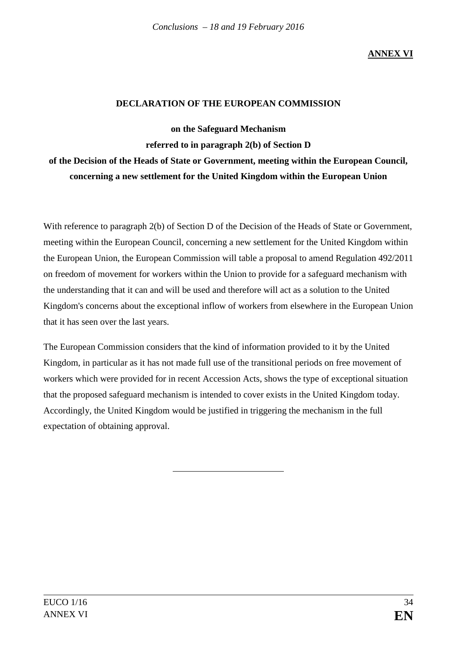## **ANNEX VI**

#### **DECLARATION OF THE EUROPEAN COMMISSION**

**on the Safeguard Mechanism**

**referred to in paragraph 2(b) of Section D** 

# **of the Decision of the Heads of State or Government, meeting within the European Council, concerning a new settlement for the United Kingdom within the European Union**

With reference to paragraph 2(b) of Section D of the Decision of the Heads of State or Government, meeting within the European Council, concerning a new settlement for the United Kingdom within the European Union, the European Commission will table a proposal to amend Regulation 492/2011 on freedom of movement for workers within the Union to provide for a safeguard mechanism with the understanding that it can and will be used and therefore will act as a solution to the United Kingdom's concerns about the exceptional inflow of workers from elsewhere in the European Union that it has seen over the last years.

The European Commission considers that the kind of information provided to it by the United Kingdom, in particular as it has not made full use of the transitional periods on free movement of workers which were provided for in recent Accession Acts, shows the type of exceptional situation that the proposed safeguard mechanism is intended to cover exists in the United Kingdom today. Accordingly, the United Kingdom would be justified in triggering the mechanism in the full expectation of obtaining approval.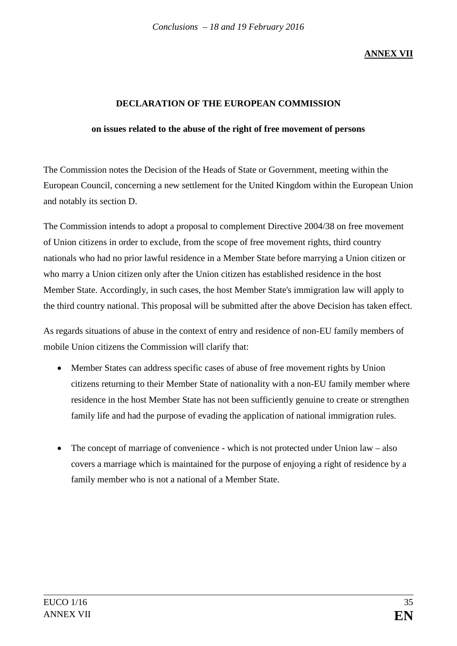## **ANNEX VII**

### **DECLARATION OF THE EUROPEAN COMMISSION**

#### **on issues related to the abuse of the right of free movement of persons**

The Commission notes the Decision of the Heads of State or Government, meeting within the European Council, concerning a new settlement for the United Kingdom within the European Union and notably its section D.

The Commission intends to adopt a proposal to complement Directive 2004/38 on free movement of Union citizens in order to exclude, from the scope of free movement rights, third country nationals who had no prior lawful residence in a Member State before marrying a Union citizen or who marry a Union citizen only after the Union citizen has established residence in the host Member State. Accordingly, in such cases, the host Member State's immigration law will apply to the third country national. This proposal will be submitted after the above Decision has taken effect.

As regards situations of abuse in the context of entry and residence of non-EU family members of mobile Union citizens the Commission will clarify that:

- Member States can address specific cases of abuse of free movement rights by Union citizens returning to their Member State of nationality with a non-EU family member where residence in the host Member State has not been sufficiently genuine to create or strengthen family life and had the purpose of evading the application of national immigration rules.
- The concept of marriage of convenience which is not protected under Union law also covers a marriage which is maintained for the purpose of enjoying a right of residence by a family member who is not a national of a Member State.